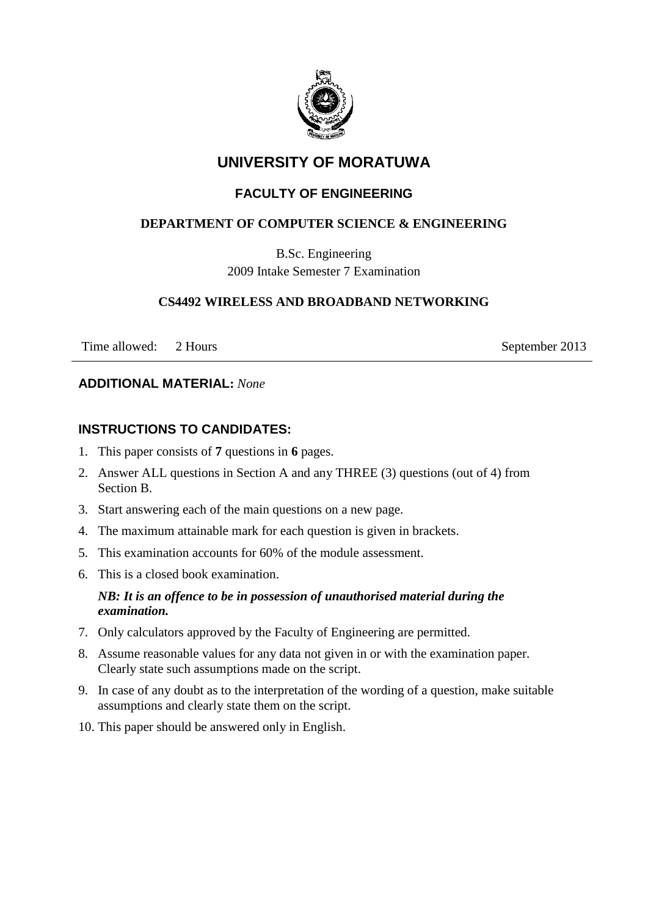

## **UNIVERSITY OF MORATUWA**

## **FACULTY OF ENGINEERING**

## **DEPARTMENT OF COMPUTER SCIENCE & ENGINEERING**

B.Sc. Engineering 2009 Intake Semester 7 Examination

## **CS4492 WIRELESS AND BROADBAND NETWORKING**

Time allowed: 2 Hours September 2013

#### **ADDITIONAL MATERIAL:** *None*

## **INSTRUCTIONS TO CANDIDATES:**

- 1. This paper consists of **7** questions in **6** pages.
- 2. Answer ALL questions in Section A and any THREE (3) questions (out of 4) from Section B.
- 3. Start answering each of the main questions on a new page.
- 4. The maximum attainable mark for each question is given in brackets.
- 5. This examination accounts for 60% of the module assessment.
- 6. This is a closed book examination.

## *NB: It is an offence to be in possession of unauthorised material during the examination.*

- 7. Only calculators approved by the Faculty of Engineering are permitted.
- 8. Assume reasonable values for any data not given in or with the examination paper. Clearly state such assumptions made on the script.
- 9. In case of any doubt as to the interpretation of the wording of a question, make suitable assumptions and clearly state them on the script.
- 10. This paper should be answered only in English.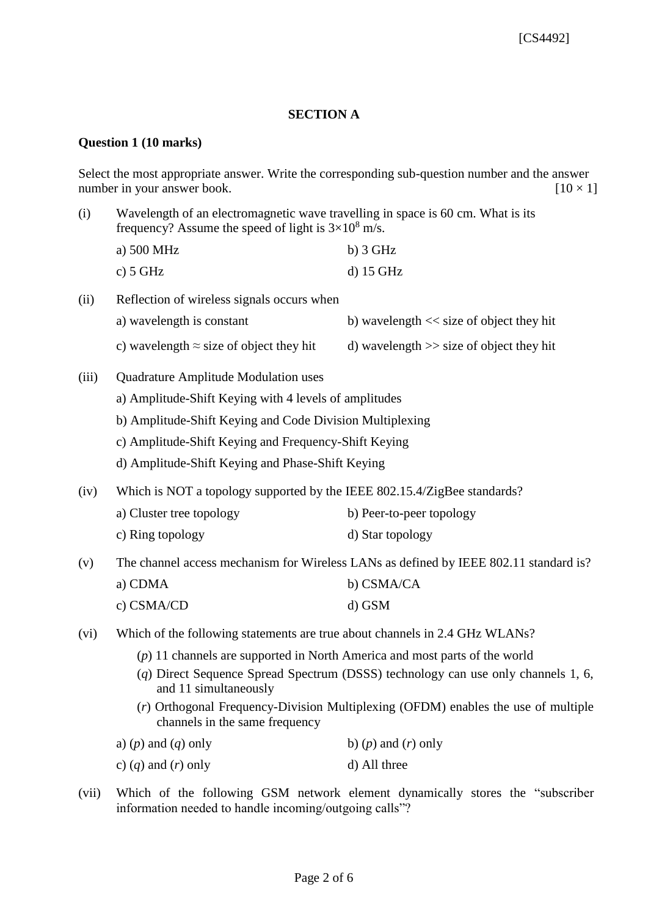#### **SECTION A**

#### **Question 1 (10 marks)**

Select the most appropriate answer. Write the corresponding sub-question number and the answer number in your answer book.  $[10 \times 1]$ 

(i) Wavelength of an electromagnetic wave travelling in space is 60 cm. What is its frequency? Assume the speed of light is  $3\times10^8$  m/s.

| a) $500 \text{ MHz}$ | $b)$ 3 GHz  |
|----------------------|-------------|
| c) $5 GHz$           | $d)$ 15 GHz |

| (ii) | Reflection of wireless signals occurs when      |                                             |
|------|-------------------------------------------------|---------------------------------------------|
|      | a) wavelength is constant                       | b) wavelength $<<$ size of object they hit  |
|      | c) wavelength $\approx$ size of object they hit | d) wavelength $\gg$ size of object they hit |

- (iii) Quadrature Amplitude Modulation uses
	- a) Amplitude-Shift Keying with 4 levels of amplitudes
	- b) Amplitude-Shift Keying and Code Division Multiplexing
	- c) Amplitude-Shift Keying and Frequency-Shift Keying
	- d) Amplitude-Shift Keying and Phase-Shift Keying
- (iv) Which is NOT a topology supported by the IEEE 802.15.4/ZigBee standards?

| a) Cluster tree topology | b) Peer-to-peer topology |
|--------------------------|--------------------------|
|--------------------------|--------------------------|

- c) Ring topology d) Star topology
- (v) The channel access mechanism for Wireless LANs as defined by IEEE 802.11 standard is?

| a) CDMA      | b) CSMA/CA |
|--------------|------------|
| c) $CSMA/CD$ | d) GSM     |

- (vi) Which of the following statements are true about channels in 2.4 GHz WLANs?
	- (*p*) 11 channels are supported in North America and most parts of the world
	- (*q*) Direct Sequence Spread Spectrum (DSSS) technology can use only channels 1, 6, and 11 simultaneously
	- (*r*) Orthogonal Frequency-Division Multiplexing (OFDM) enables the use of multiple channels in the same frequency

| a) $(p)$ and $(q)$ only | b) $(p)$ and $(r)$ only |
|-------------------------|-------------------------|
| c) $(q)$ and $(r)$ only | d) All three            |

(vii) Which of the following GSM network element dynamically stores the "subscriber information needed to handle incoming/outgoing calls"?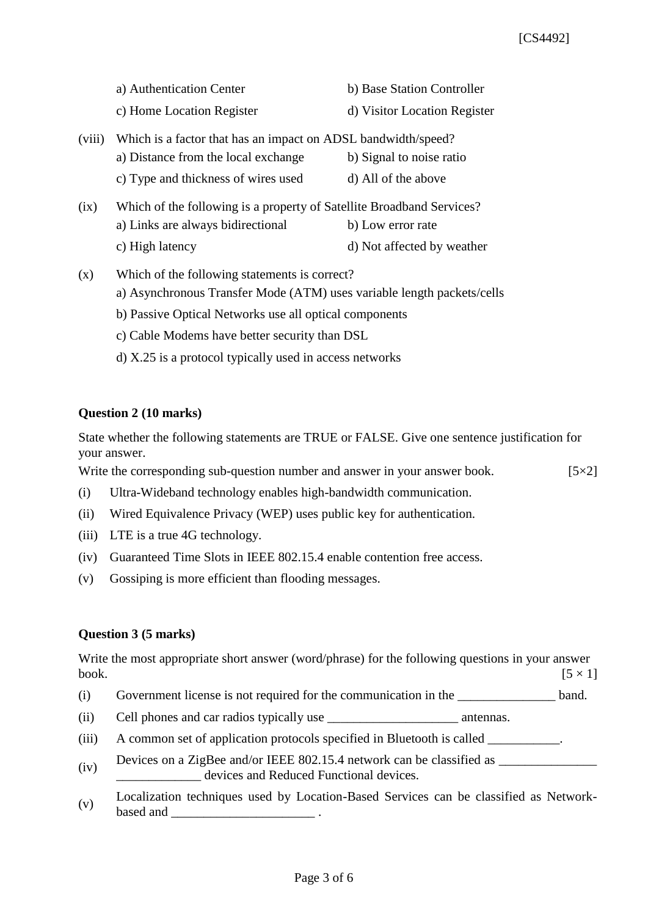a) Authentication Center b) Base Station Controller

c) Home Location Register d) Visitor Location Register

- (viii) Which is a factor that has an impact on ADSL bandwidth/speed? a) Distance from the local exchange b) Signal to noise ratio c) Type and thickness of wires used d) All of the above
- (ix) Which of the following is a property of Satellite Broadband Services? a) Links are always bidirectional b) Low error rate c) High latency d) Not affected by weather
- (x) Which of the following statements is correct? a) Asynchronous Transfer Mode (ATM) uses variable length packets/cells b) Passive Optical Networks use all optical components c) Cable Modems have better security than DSL
	- d) X.25 is a protocol typically used in access networks

## **Question 2 (10 marks)**

State whether the following statements are TRUE or FALSE. Give one sentence justification for your answer.

Write the corresponding sub-question number and answer in your answer book.  $[5\times2]$ 

- (i) Ultra-Wideband technology enables high-bandwidth communication.
- (ii) Wired Equivalence Privacy (WEP) uses public key for authentication.
- (iii) LTE is a true 4G technology.
- (iv) Guaranteed Time Slots in IEEE 802.15.4 enable contention free access.
- (v) Gossiping is more efficient than flooding messages.

## **Question 3 (5 marks)**

Write the most appropriate short answer (word/phrase) for the following questions in your answer book.  $[5 \times 1]$ 

- (i) Government license is not required for the communication in the \_\_\_\_\_\_\_\_\_\_\_\_\_\_\_ band.
- (ii) Cell phones and car radios typically use \_\_\_\_\_\_\_\_\_\_\_\_\_\_\_\_\_\_\_\_\_\_\_\_\_\_\_ antennas.
- (iii) A common set of application protocols specified in Bluetooth is called \_\_\_\_\_\_\_\_\_\_.
- (iv) Devices on a ZigBee and/or IEEE 802.15.4 network can be classified as  $\frac{1}{\sqrt{2}}$ devices and Reduced Functional devices.
- (v) Localization techniques used by Location-Based Services can be classified as Networkbased and  $\qquad \qquad \ldots$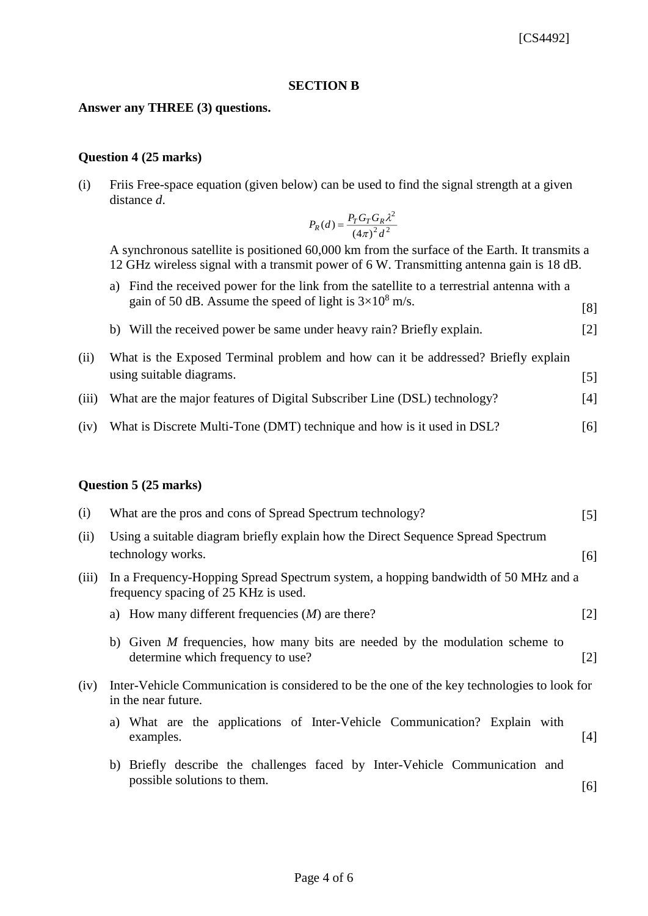#### **SECTION B**

#### **Answer any THREE (3) questions.**

#### **Question 4 (25 marks)**

(i) Friis Free-space equation (given below) can be used to find the signal strength at a given distance *d*.

$$
P_R(d) = \frac{P_T G_T G_R \lambda^2}{\left(4\pi\right)^2 d^2}
$$

A synchronous satellite is positioned 60,000 km from the surface of the Earth. It transmits a 12 GHz wireless signal with a transmit power of 6 W. Transmitting antenna gain is 18 dB.

- a) Find the received power for the link from the satellite to a terrestrial antenna with a gain of 50 dB. Assume the speed of light is  $3\times10^8$  m/s. [8]
- b) Will the received power be same under heavy rain? Briefly explain. [2]
- (ii) What is the Exposed Terminal problem and how can it be addressed? Briefly explain using suitable diagrams. [5]
- (iii) What are the major features of Digital Subscriber Line (DSL) technology? [4]
- (iv) What is Discrete Multi-Tone (DMT) technique and how is it used in DSL? [6]

#### **Question 5 (25 marks)**

| (i)   | What are the pros and cons of Spread Spectrum technology?                                                                  | $\lceil 5 \rceil$ |
|-------|----------------------------------------------------------------------------------------------------------------------------|-------------------|
| (ii)  | Using a suitable diagram briefly explain how the Direct Sequence Spread Spectrum<br>technology works.                      | [6]               |
| (iii) | In a Frequency-Hopping Spread Spectrum system, a hopping bandwidth of 50 MHz and a<br>frequency spacing of 25 KHz is used. |                   |
|       | a) How many different frequencies $(M)$ are there?                                                                         | $\lceil 2 \rceil$ |
|       | b) Given $M$ frequencies, how many bits are needed by the modulation scheme to<br>determine which frequency to use?        | $\lceil 2 \rceil$ |
| (iv)  | Inter-Vehicle Communication is considered to be the one of the key technologies to look for<br>in the near future.         |                   |
|       | a) What are the applications of Inter-Vehicle Communication? Explain with<br>examples.                                     | [4]               |
|       | b) Briefly describe the challenges faced by Inter-Vehicle Communication and<br>possible solutions to them.                 | [6]               |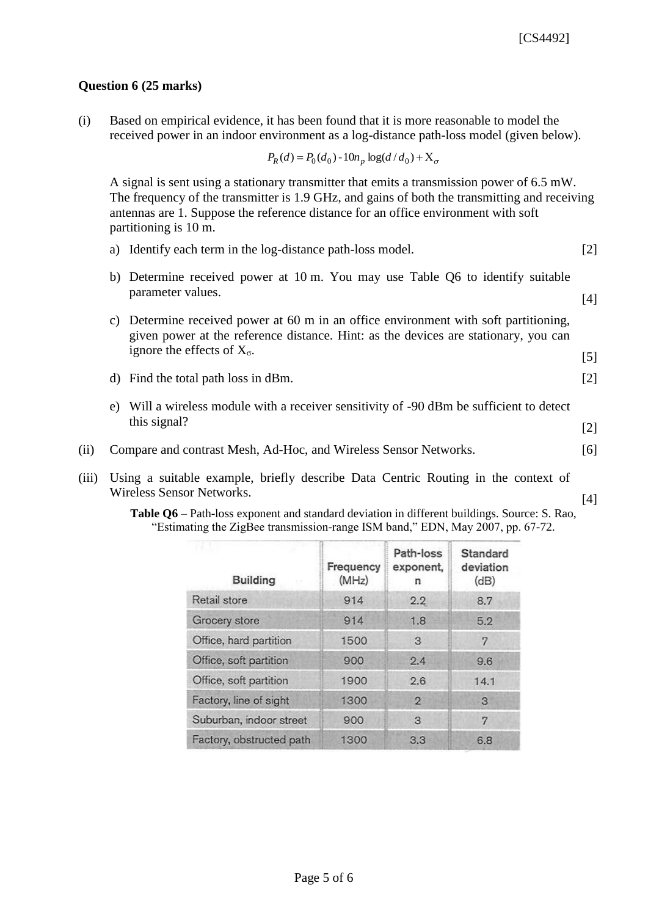[5]

## **Question 6 (25 marks)**

(i) Based on empirical evidence, it has been found that it is more reasonable to model the received power in an indoor environment as a log-distance path-loss model (given below).

$$
P_R(d) = P_0(d_0) - 10n_p \log(d/d_0) + X_{\sigma}
$$

A signal is sent using a stationary transmitter that emits a transmission power of 6.5 mW. The frequency of the transmitter is 1.9 GHz, and gains of both the transmitting and receiving antennas are 1. Suppose the reference distance for an office environment with soft partitioning is 10 m.

- a) Identify each term in the log-distance path-loss model. [2]
- b) Determine received power at 10 m. You may use Table Q6 to identify suitable parameter values. [4]
- c) Determine received power at 60 m in an office environment with soft partitioning, given power at the reference distance. Hint: as the devices are stationary, you can ignore the effects of  $X_{\sigma}$ .
- d) Find the total path loss in dBm. [2]
- e) Will a wireless module with a receiver sensitivity of -90 dBm be sufficient to detect this signal?  $[2]$
- (ii) Compare and contrast Mesh, Ad-Hoc, and Wireless Sensor Networks. [6]
- (iii) Using a suitable example, briefly describe Data Centric Routing in the context of Wireless Sensor Networks. [4]

**Table Q6** – Path-loss exponent and standard deviation in different buildings. Source: S. Rao, "Estimating the ZigBee transmission-range ISM band," EDN, May 2007, pp. 67-72.

| <b>Building</b>          | Frequency<br>(MHz) | Path-loss<br>exponent,<br>n | Standard<br>deviation<br>(dB) |
|--------------------------|--------------------|-----------------------------|-------------------------------|
| Retail store             | 914                | 2.2                         | 8.7                           |
| Grocery store            | 914                | 1.8                         | 5.2                           |
| Office, hard partition   | 1500               | 3                           | 7                             |
| Office, soft partition   | 900                | 2.4                         | 9.6                           |
| Office, soft partition   | 1900               | 2.6                         | 14.1                          |
| Factory, line of sight   | 1300               | $\overline{2}$              | 3                             |
| Suburban, indoor street  | 900                | 3                           | 7                             |
| Factory, obstructed path | 1300               | 3.3                         | 6.8                           |